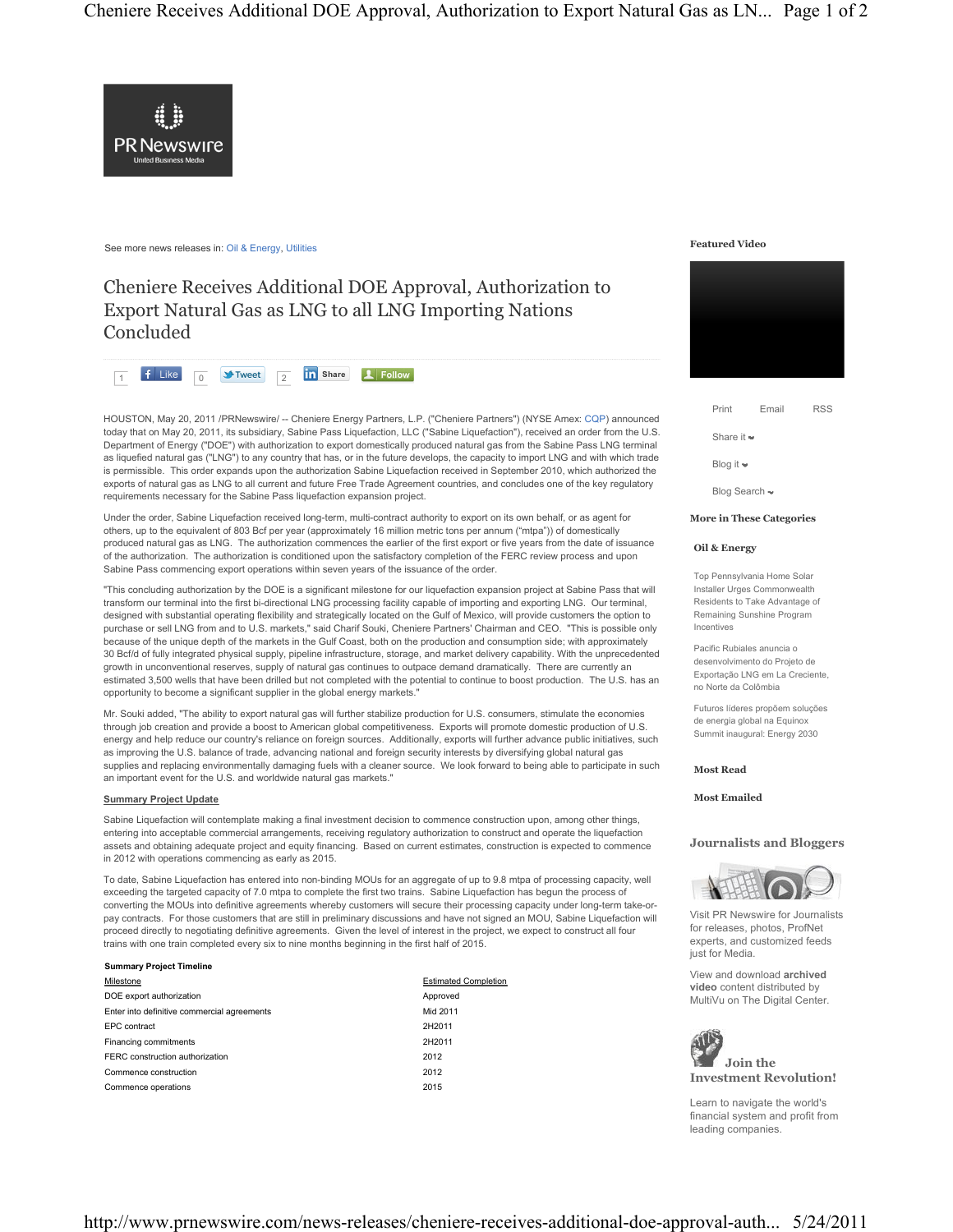

See more news releases in: Oil & Energy, Utilities

# Cheniere Receives Additional DOE Approval, Authorization to Export Natural Gas as LNG to all LNG Importing Nations Concluded



HOUSTON, May 20, 2011 /PRNewswire/ -- Cheniere Energy Partners, L.P. ("Cheniere Partners") (NYSE Amex: CQP) announced today that on May 20, 2011, its subsidiary, Sabine Pass Liquefaction, LLC ("Sabine Liquefaction"), received an order from the U.S. Department of Energy ("DOE") with authorization to export domestically produced natural gas from the Sabine Pass LNG terminal as liquefied natural gas ("LNG") to any country that has, or in the future develops, the capacity to import LNG and with which trade is permissible. This order expands upon the authorization Sabine Liquefaction received in September 2010, which authorized the exports of natural gas as LNG to all current and future Free Trade Agreement countries, and concludes one of the key regulatory requirements necessary for the Sabine Pass liquefaction expansion project.

Under the order, Sabine Liquefaction received long-term, multi-contract authority to export on its own behalf, or as agent for others, up to the equivalent of 803 Bcf per year (approximately 16 million metric tons per annum ("mtpa")) of domestically produced natural gas as LNG. The authorization commences the earlier of the first export or five years from the date of issuance of the authorization. The authorization is conditioned upon the satisfactory completion of the FERC review process and upon Sabine Pass commencing export operations within seven years of the issuance of the order.

"This concluding authorization by the DOE is a significant milestone for our liquefaction expansion project at Sabine Pass that will transform our terminal into the first bi-directional LNG processing facility capable of importing and exporting LNG. Our terminal, designed with substantial operating flexibility and strategically located on the Gulf of Mexico, will provide customers the option to purchase or sell LNG from and to U.S. markets," said Charif Souki, Cheniere Partners' Chairman and CEO. "This is possible only because of the unique depth of the markets in the Gulf Coast, both on the production and consumption side; with approximately 30 Bcf/d of fully integrated physical supply, pipeline infrastructure, storage, and market delivery capability. With the unprecedented growth in unconventional reserves, supply of natural gas continues to outpace demand dramatically. There are currently an estimated 3,500 wells that have been drilled but not completed with the potential to continue to boost production. The U.S. has an opportunity to become a significant supplier in the global energy markets."

Mr. Souki added, "The ability to export natural gas will further stabilize production for U.S. consumers, stimulate the economies through job creation and provide a boost to American global competitiveness. Exports will promote domestic production of U.S. energy and help reduce our country's reliance on foreign sources. Additionally, exports will further advance public initiatives, such as improving the U.S. balance of trade, advancing national and foreign security interests by diversifying global natural gas supplies and replacing environmentally damaging fuels with a cleaner source. We look forward to being able to participate in such an important event for the U.S. and worldwide natural gas markets."

#### **Summary Project Update**

Sabine Liquefaction will contemplate making a final investment decision to commence construction upon, among other things, entering into acceptable commercial arrangements, receiving regulatory authorization to construct and operate the liquefaction assets and obtaining adequate project and equity financing. Based on current estimates, construction is expected to commence in 2012 with operations commencing as early as 2015.

To date, Sabine Liquefaction has entered into non-binding MOUs for an aggregate of up to 9.8 mtpa of processing capacity, well exceeding the targeted capacity of 7.0 mtpa to complete the first two trains. Sabine Liquefaction has begun the process of converting the MOUs into definitive agreements whereby customers will secure their processing capacity under long-term take-orpay contracts. For those customers that are still in preliminary discussions and have not signed an MOU, Sabine Liquefaction will proceed directly to negotiating definitive agreements. Given the level of interest in the project, we expect to construct all four trains with one train completed every six to nine months beginning in the first half of 2015.

#### **Summary Project Timeline**

| Milestone                                   | <b>Estimated Completion</b> |
|---------------------------------------------|-----------------------------|
| DOE export authorization                    | Approved                    |
| Enter into definitive commercial agreements | Mid 2011                    |
| EPC contract                                | 2H2011                      |
| Financing commitments                       | 2H2011                      |
| FERC construction authorization             | 2012                        |
| Commence construction                       | 2012                        |
| Commence operations                         | 2015                        |

| Estimated Completion |
|----------------------|
| Approved             |
| Mid 2011             |
| 2H2011               |
| 2H2011               |
| 2012                 |
| 2012                 |
| 2015                 |

#### **Featured Video**



| Print                         | Email | <b>RSS</b> |
|-------------------------------|-------|------------|
| Share it $\rightarrow$        |       |            |
| Blog it $\blacktriangleright$ |       |            |
| Blog Search ~                 |       |            |

**More in These Categories**

#### **Oil & Energy**

Top Pennsylvania Home Solar Installer Urges Commonwealth Residents to Take Advantage of Remaining Sunshine Program Incentives

Pacific Rubiales anuncia o desenvolvimento do Projeto de Exportação LNG em La Creciente, no Norte da Colômbia

Futuros líderes propõem soluções de energia global na Equinox Summit inaugural: Energy 2030

#### **Most Read**

#### **Most Emailed**

### **Journalists and Bloggers**



Visit PR Newswire for Journalists for releases, photos, ProfNet experts, and customized feeds just for Media.

View and download **archived video** content distributed by MultiVu on The Digital Center.



Learn to navigate the world's financial system and profit from leading companies.